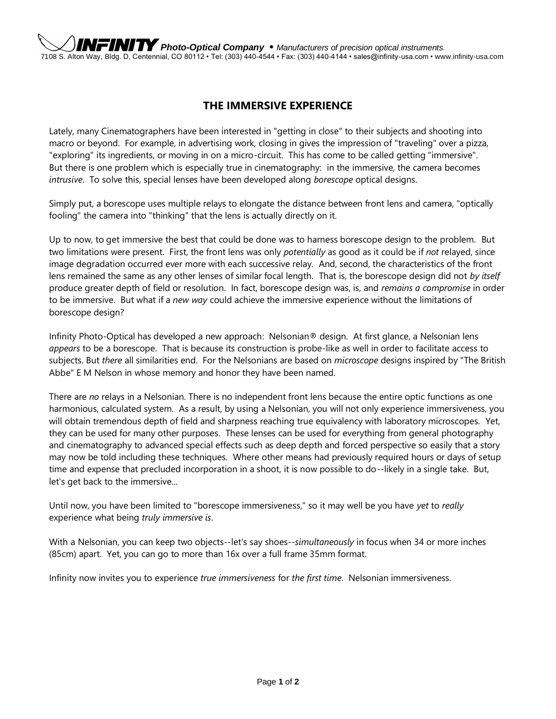## **THE IMMERSIVE EXPERIENCE**

Lately, many Cinematographers have been interested in "getting in close" to their subjects and shooting into macro or beyond. For example, in advertising work, closing in gives the impression of "traveling" over a pizza, "exploring" its ingredients, or moving in on a micro-circuit. This has come to be called getting "immersive". But there is one problem which is especially true in cinematography: in the immersive, the camera becomes *intrusive*. To solve this, special lenses have been developed along *borescope* optical designs.

Simply put, a borescope uses multiple relays to elongate the distance between front lens and camera, "optically fooling" the camera into "thinking" that the lens is actually directly on it.

Up to now, to get immersive the best that could be done was to harness borescope design to the problem. But two limitations were present. First, the front lens was only *potentially* as good as it could be if *not* relayed, since image degradation occurred ever more with each successive relay. And, second, the characteristics of the front lens remained the same as any other lenses of similar focal length. That is, the borescope design did not *by itself* produce greater depth of field or resolution. In fact, borescope design was, is, and *remains a compromise* in order to be immersive. But what if a *new way* could achieve the immersive experience without the limitations of borescope design?

Infinity Photo-Optical has developed a new approach: Nelsonian® design. At first glance, a Nelsonian lens *appears* to be a borescope. That is because its construction is probe-like as well in order to facilitate access to subjects. But *there* all similarities end. For the Nelsonians are based on *microscope* designs inspired by "The British Abbe" E M Nelson in whose memory and honor they have been named.

There are *no* relays in a Nelsonian. There is no independent front lens because the entire optic functions as one harmonious, calculated system. As a result, by using a Nelsonian, you will not only experience immersiveness, you will obtain tremendous depth of field and sharpness reaching true equivalency with laboratory microscopes. Yet, they can be used for many other purposes. These lenses can be used for everything from general photography and cinematography to advanced special effects such as deep depth and forced perspective so easily that a story may now be told including these techniques. Where other means had previously required hours or days of setup time and expense that precluded incorporation in a shoot, it is now possible to do--likely in a single take. But, let's get back to the immersive...

Until now, you have been limited to "borescope immersiveness," so it may well be you have *yet* to *really* experience what being *truly immersive is*.

With a Nelsonian, you can keep two objects--let's say shoes--*simultaneously* in focus when 34 or more inches (85cm) apart. Yet, you can go to more than 16x over a full frame 35mm format.

Infinity now invites you to experience *true immersiveness* for *the first time*. Nelsonian immersiveness.